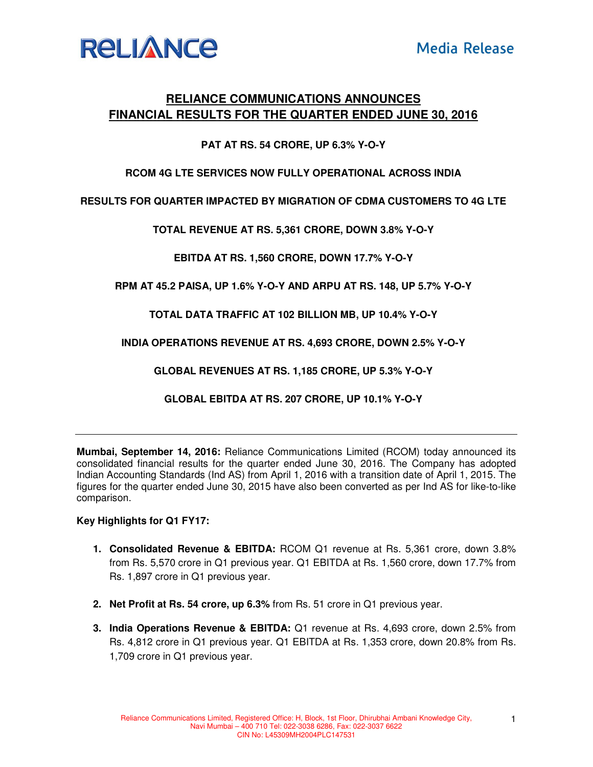

# **RELIANCE COMMUNICATIONS ANNOUNCES FINANCIAL RESULTS FOR THE QUARTER ENDED JUNE 30, 2016**

## **PAT AT RS. 54 CRORE, UP 6.3% Y-O-Y**

### **RCOM 4G LTE SERVICES NOW FULLY OPERATIONAL ACROSS INDIA**

**RESULTS FOR QUARTER IMPACTED BY MIGRATION OF CDMA CUSTOMERS TO 4G LTE** 

**TOTAL REVENUE AT RS. 5,361 CRORE, DOWN 3.8% Y-O-Y** 

**EBITDA AT RS. 1,560 CRORE, DOWN 17.7% Y-O-Y** 

**RPM AT 45.2 PAISA, UP 1.6% Y-O-Y AND ARPU AT RS. 148, UP 5.7% Y-O-Y** 

**TOTAL DATA TRAFFIC AT 102 BILLION MB, UP 10.4% Y-O-Y** 

**INDIA OPERATIONS REVENUE AT RS. 4,693 CRORE, DOWN 2.5% Y-O-Y** 

**GLOBAL REVENUES AT RS. 1,185 CRORE, UP 5.3% Y-O-Y** 

**GLOBAL EBITDA AT RS. 207 CRORE, UP 10.1% Y-O-Y** 

**Mumbai, September 14, 2016:** Reliance Communications Limited (RCOM) today announced its consolidated financial results for the quarter ended June 30, 2016. The Company has adopted Indian Accounting Standards (Ind AS) from April 1, 2016 with a transition date of April 1, 2015. The figures for the quarter ended June 30, 2015 have also been converted as per Ind AS for like-to-like comparison.

### **Key Highlights for Q1 FY17:**

- **1. Consolidated Revenue & EBITDA:** RCOM Q1 revenue at Rs. 5,361 crore, down 3.8% from Rs. 5,570 crore in Q1 previous year. Q1 EBITDA at Rs. 1,560 crore, down 17.7% from Rs. 1,897 crore in Q1 previous year.
- **2. Net Profit at Rs. 54 crore, up 6.3%** from Rs. 51 crore in Q1 previous year.
- **3. India Operations Revenue & EBITDA:** Q1 revenue at Rs. 4,693 crore, down 2.5% from Rs. 4,812 crore in Q1 previous year. Q1 EBITDA at Rs. 1,353 crore, down 20.8% from Rs. 1,709 crore in Q1 previous year.

1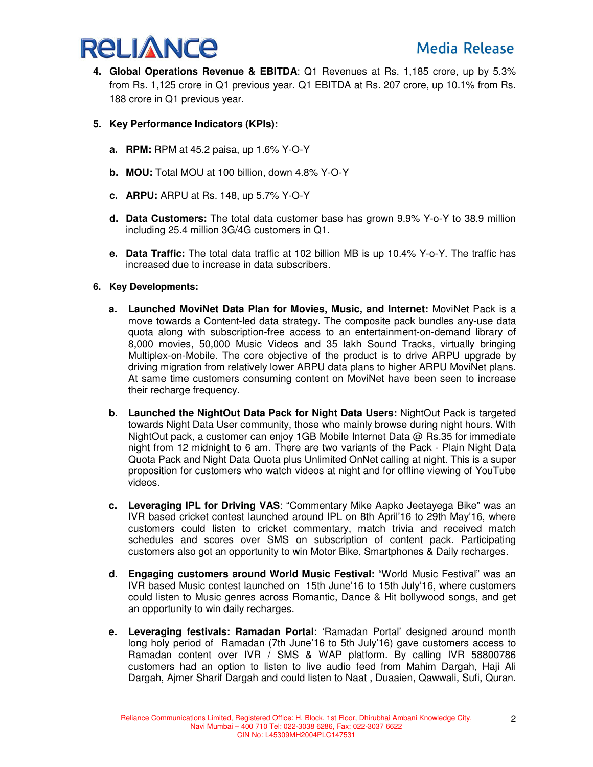

- **4. Global Operations Revenue & EBITDA**: Q1 Revenues at Rs. 1,185 crore, up by 5.3% from Rs. 1,125 crore in Q1 previous year. Q1 EBITDA at Rs. 207 crore, up 10.1% from Rs. 188 crore in Q1 previous year.
- **5. Key Performance Indicators (KPIs):** 
	- **a. RPM:** RPM at 45.2 paisa, up 1.6% Y-O-Y
	- **b. MOU:** Total MOU at 100 billion, down 4.8% Y-O-Y
	- **c. ARPU:** ARPU at Rs. 148, up 5.7% Y-O-Y
	- **d. Data Customers:** The total data customer base has grown 9.9% Y-o-Y to 38.9 million including 25.4 million 3G/4G customers in Q1.
	- **e. Data Traffic:** The total data traffic at 102 billion MB is up 10.4% Y-o-Y. The traffic has increased due to increase in data subscribers.
- **6. Key Developments:** 
	- **a. Launched MoviNet Data Plan for Movies, Music, and Internet:** MoviNet Pack is a move towards a Content-led data strategy. The composite pack bundles any-use data quota along with subscription-free access to an entertainment-on-demand library of 8,000 movies, 50,000 Music Videos and 35 lakh Sound Tracks, virtually bringing Multiplex-on-Mobile. The core objective of the product is to drive ARPU upgrade by driving migration from relatively lower ARPU data plans to higher ARPU MoviNet plans. At same time customers consuming content on MoviNet have been seen to increase their recharge frequency.
	- **b. Launched the NightOut Data Pack for Night Data Users:** NightOut Pack is targeted towards Night Data User community, those who mainly browse during night hours. With NightOut pack, a customer can enjoy 1GB Mobile Internet Data @ Rs.35 for immediate night from 12 midnight to 6 am. There are two variants of the Pack - Plain Night Data Quota Pack and Night Data Quota plus Unlimited OnNet calling at night. This is a super proposition for customers who watch videos at night and for offline viewing of YouTube videos.
	- **c. Leveraging IPL for Driving VAS**: "Commentary Mike Aapko Jeetayega Bike" was an IVR based cricket contest launched around IPL on 8th April'16 to 29th May'16, where customers could listen to cricket commentary, match trivia and received match schedules and scores over SMS on subscription of content pack. Participating customers also got an opportunity to win Motor Bike, Smartphones & Daily recharges.
	- **d. Engaging customers around World Music Festival:** "World Music Festival" was an IVR based Music contest launched on 15th June'16 to 15th July'16, where customers could listen to Music genres across Romantic, Dance & Hit bollywood songs, and get an opportunity to win daily recharges.
	- **e. Leveraging festivals: Ramadan Portal:** 'Ramadan Portal' designed around month long holy period of Ramadan (7th June'16 to 5th July'16) gave customers access to Ramadan content over IVR / SMS & WAP platform. By calling IVR 58800786 customers had an option to listen to live audio feed from Mahim Dargah, Haji Ali Dargah, Ajmer Sharif Dargah and could listen to Naat , Duaaien, Qawwali, Sufi, Quran.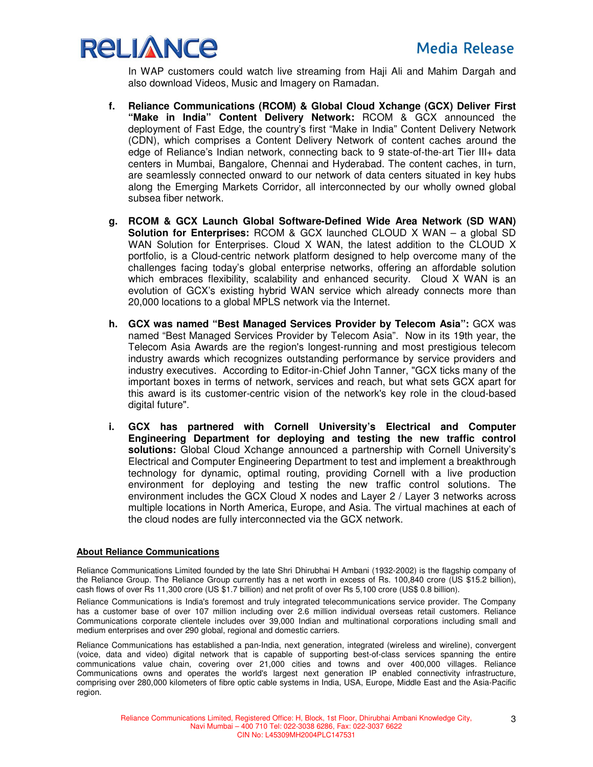

In WAP customers could watch live streaming from Haji Ali and Mahim Dargah and also download Videos, Music and Imagery on Ramadan.

- **f. Reliance Communications (RCOM) & Global Cloud Xchange (GCX) Deliver First "Make in India" Content Delivery Network:** RCOM & GCX announced the deployment of Fast Edge, the country's first "Make in India" Content Delivery Network (CDN), which comprises a Content Delivery Network of content caches around the edge of Reliance's Indian network, connecting back to 9 state-of-the-art Tier III+ data centers in Mumbai, Bangalore, Chennai and Hyderabad. The content caches, in turn, are seamlessly connected onward to our network of data centers situated in key hubs along the Emerging Markets Corridor, all interconnected by our wholly owned global subsea fiber network.
- **g. RCOM & GCX Launch Global Software-Defined Wide Area Network (SD WAN) Solution for Enterprises:** RCOM & GCX launched CLOUD X WAN – a global SD WAN Solution for Enterprises. Cloud X WAN, the latest addition to the CLOUD X portfolio, is a Cloud-centric network platform designed to help overcome many of the challenges facing today's global enterprise networks, offering an affordable solution which embraces flexibility, scalability and enhanced security. Cloud X WAN is an evolution of GCX's existing hybrid WAN service which already connects more than 20,000 locations to a global MPLS network via the Internet.
- **h. GCX was named "Best Managed Services Provider by Telecom Asia":** GCX was named "Best Managed Services Provider by Telecom Asia". Now in its 19th year, the Telecom Asia Awards are the region's longest-running and most prestigious telecom industry awards which recognizes outstanding performance by service providers and industry executives. According to Editor-in-Chief John Tanner, "GCX ticks many of the important boxes in terms of network, services and reach, but what sets GCX apart for this award is its customer-centric vision of the network's key role in the cloud-based digital future".
- **i. GCX has partnered with Cornell University's Electrical and Computer Engineering Department for deploying and testing the new traffic control solutions:** Global Cloud Xchange announced a partnership with Cornell University's Electrical and Computer Engineering Department to test and implement a breakthrough technology for dynamic, optimal routing, providing Cornell with a live production environment for deploying and testing the new traffic control solutions. The environment includes the GCX Cloud X nodes and Layer 2 / Layer 3 networks across multiple locations in North America, Europe, and Asia. The virtual machines at each of the cloud nodes are fully interconnected via the GCX network.

#### **About Reliance Communications**

Reliance Communications Limited founded by the late Shri Dhirubhai H Ambani (1932-2002) is the flagship company of the Reliance Group. The Reliance Group currently has a net worth in excess of Rs. 100,840 crore (US \$15.2 billion), cash flows of over Rs 11,300 crore (US \$1.7 billion) and net profit of over Rs 5,100 crore (US\$ 0.8 billion).

Reliance Communications is India's foremost and truly integrated telecommunications service provider. The Company has a customer base of over 107 million including over 2.6 million individual overseas retail customers. Reliance Communications corporate clientele includes over 39,000 Indian and multinational corporations including small and medium enterprises and over 290 global, regional and domestic carriers.

Reliance Communications has established a pan-India, next generation, integrated (wireless and wireline), convergent (voice, data and video) digital network that is capable of supporting best-of-class services spanning the entire communications value chain, covering over 21,000 cities and towns and over 400,000 villages. Reliance Communications owns and operates the world's largest next generation IP enabled connectivity infrastructure, comprising over 280,000 kilometers of fibre optic cable systems in India, USA, Europe, Middle East and the Asia-Pacific region.